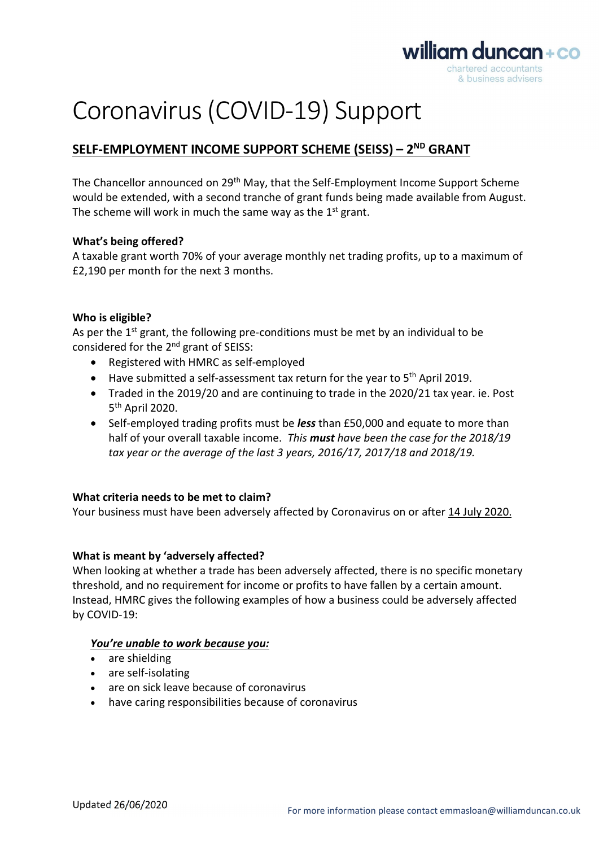

# Coronavirus (COVID-19) Support

# SELF-EMPLOYMENT INCOME SUPPORT SCHEME (SEISS) - 2<sup>ND</sup> GRANT

The Chancellor announced on 29th May, that the Self-Employment Income Support Scheme would be extended, with a second tranche of grant funds being made available from August. The scheme will work in much the same way as the  $1<sup>st</sup>$  grant.

#### What's being offered?

A taxable grant worth 70% of your average monthly net trading profits, up to a maximum of £2,190 per month for the next 3 months.

#### Who is eligible?

As per the  $1<sup>st</sup>$  grant, the following pre-conditions must be met by an individual to be considered for the 2nd grant of SEISS:

- Registered with HMRC as self-employed
- $\bullet$  Have submitted a self-assessment tax return for the year to 5<sup>th</sup> April 2019.
- Traded in the 2019/20 and are continuing to trade in the 2020/21 tax year. ie. Post 5 th April 2020.
- Self-employed trading profits must be less than £50,000 and equate to more than half of your overall taxable income. This must have been the case for the 2018/19 tax year or the average of the last 3 years, 2016/17, 2017/18 and 2018/19.

## What criteria needs to be met to claim?

Your business must have been adversely affected by Coronavirus on or after 14 July 2020.

## What is meant by 'adversely affected?

When looking at whether a trade has been adversely affected, there is no specific monetary threshold, and no requirement for income or profits to have fallen by a certain amount. Instead, HMRC gives the following examples of how a business could be adversely affected by COVID-19:

#### You're unable to work because you:

- are shielding
- are self-isolating
- are on sick leave because of coronavirus
- have caring responsibilities because of coronavirus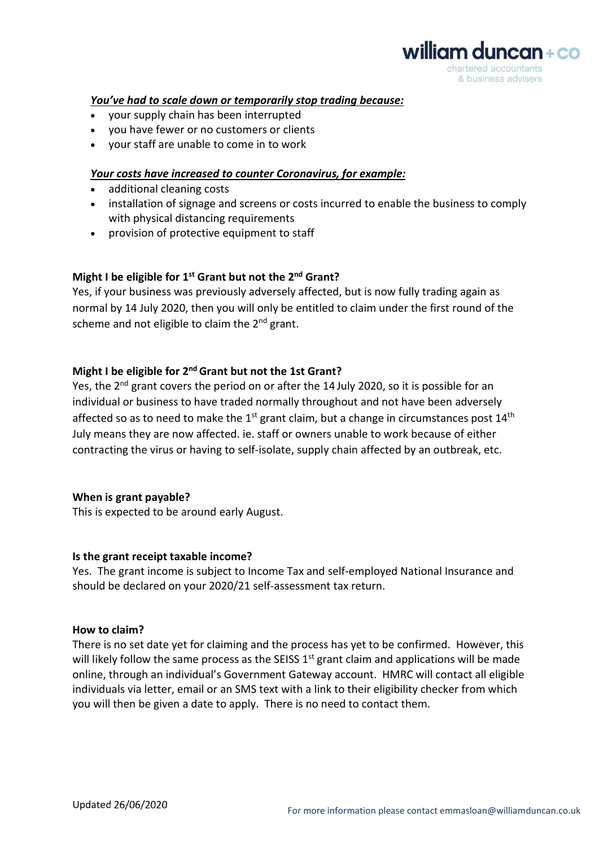# william duncan+co chartered accountants & business advisers

#### You've had to scale down or temporarily stop trading because:

- your supply chain has been interrupted
- you have fewer or no customers or clients
- your staff are unable to come in to work

#### Your costs have increased to counter Coronavirus, for example:

- additional cleaning costs
- installation of signage and screens or costs incurred to enable the business to comply with physical distancing requirements
- provision of protective equipment to staff

#### Might I be eligible for 1<sup>st</sup> Grant but not the 2<sup>nd</sup> Grant?

Yes, if your business was previously adversely affected, but is now fully trading again as normal by 14 July 2020, then you will only be entitled to claim under the first round of the scheme and not eligible to claim the  $2<sup>nd</sup>$  grant.

### Might I be eligible for 2<sup>nd</sup> Grant but not the 1st Grant?

Yes, the 2<sup>nd</sup> grant covers the period on or after the 14 July 2020, so it is possible for an individual or business to have traded normally throughout and not have been adversely affected so as to need to make the  $1^{st}$  grant claim, but a change in circumstances post  $14^{th}$ July means they are now affected. ie. staff or owners unable to work because of either contracting the virus or having to self-isolate, supply chain affected by an outbreak, etc.

#### When is grant payable?

This is expected to be around early August.

#### Is the grant receipt taxable income?

Yes. The grant income is subject to Income Tax and self-employed National Insurance and should be declared on your 2020/21 self-assessment tax return.

#### How to claim?

There is no set date yet for claiming and the process has yet to be confirmed. However, this will likely follow the same process as the SEISS  $1<sup>st</sup>$  grant claim and applications will be made online, through an individual's Government Gateway account. HMRC will contact all eligible individuals via letter, email or an SMS text with a link to their eligibility checker from which you will then be given a date to apply. There is no need to contact them.